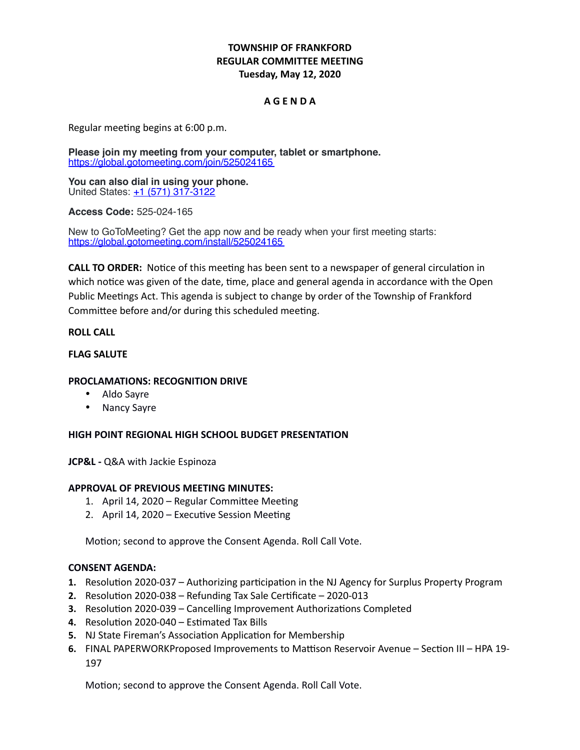# **TOWNSHIP OF FRANKFORD REGULAR COMMITTEE MEETING Tuesday, May 12, 2020**

## **A G E N D A**

Regular meeting begins at 6:00 p.m.

**Please join my meeting from your computer, tablet or smartphone.** <https://global.gotomeeting.com/join/525024165>

**You can also dial in using your phone.** United States: [+1 \(571\) 317-3122](tel:+15713173122,,525024165)

**Access Code:** 525-024-165

New to GoToMeeting? Get the app now and be ready when your first meeting starts: <https://global.gotomeeting.com/install/525024165>

**CALL TO ORDER:** Notice of this meeting has been sent to a newspaper of general circulation in which notice was given of the date, time, place and general agenda in accordance with the Open Public Meetings Act. This agenda is subject to change by order of the Township of Frankford Committee before and/or during this scheduled meeting.

### **ROLL CALL**

### **FLAG SALUTE**

### **PROCLAMATIONS: RECOGNITION DRIVE**

- Aldo Sayre
- Nancy Sayre

#### **HIGH POINT REGIONAL HIGH SCHOOL BUDGET PRESENTATION**

**JCP&L -** Q&A with Jackie Espinoza

#### **APPROVAL OF PREVIOUS MEETING MINUTES:**

- 1. April 14, 2020 Regular Committee Meeting
- 2. April 14, 2020 Executive Session Meeting

Motion; second to approve the Consent Agenda. Roll Call Vote.

### **CONSENT AGENDA:**

- **1.** Resolution 2020-037 Authorizing participation in the NJ Agency for Surplus Property Program
- **2.** Resolution 2020-038 Refunding Tax Sale Certificate 2020-013
- **3.** Resolution 2020-039 Cancelling Improvement Authorizations Completed
- **4.** Resolution 2020-040 Estimated Tax Bills
- **5.** NJ State Fireman's Association Application for Membership
- **6.** FINAL PAPERWORKProposed Improvements to Mattison Reservoir Avenue Section III HPA 19- 197

Motion; second to approve the Consent Agenda. Roll Call Vote.